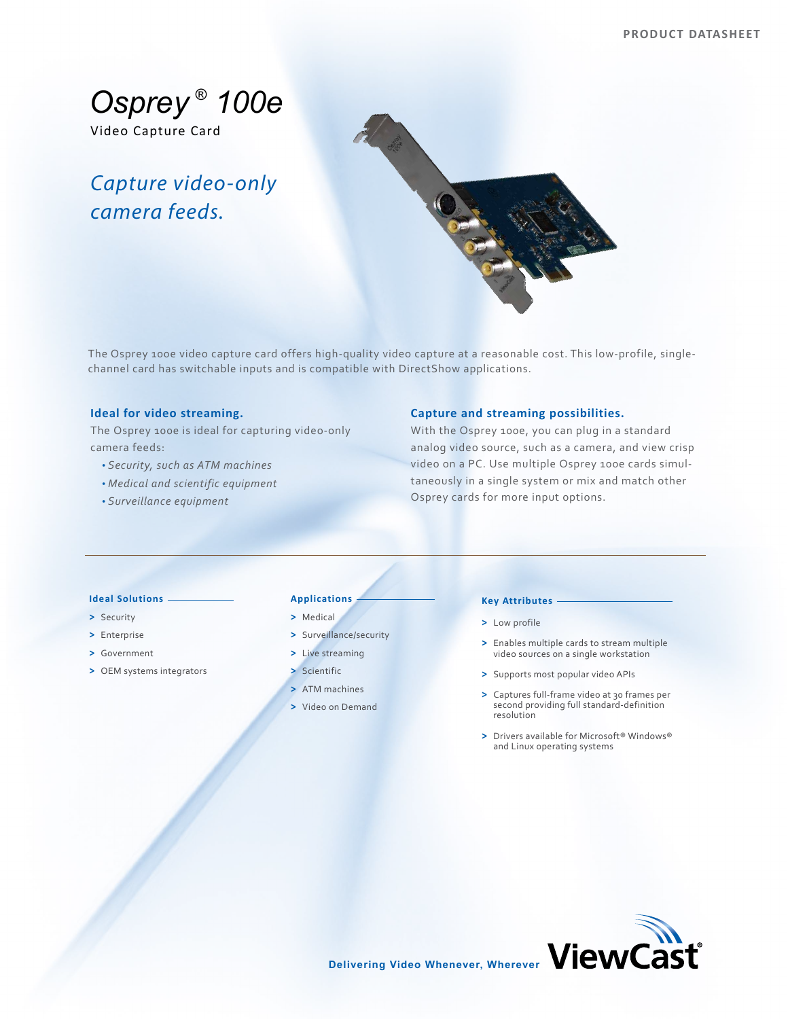*Osprey ® 100e*

Video Capture Card

# *Capture video-only camera feeds.*



The Osprey 100e video capture card offers high-quality video capture at a reasonable cost. This low-profile, singlechannel card has switchable inputs and is compatible with DirectShow applications.

# **Ideal for video streaming.**

The Osprey 100e is ideal for capturing video-only camera feeds:

- *Security, such as ATM machines*
- *Medical and scientific equipment*
- *Surveillance equipment*

# **Capture and streaming possibilities.**

With the Osprey 100e, you can plug in a standard analog video source, such as a camera, and view crisp video on a PC. Use multiple Osprey 100e cards simultaneously in a single system or mix and match other Osprey cards for more input options.

#### **Ideal Solutions**

- **>** Security
- **>** Enterprise
- **>** Government
- **>** OEM systems integrators

## **Applications**

### **>** Medical

- **>** Surveillance/security
- **>** Live streaming
- **>** Scientific
- **>** ATM machines
- **>** Video on Demand

## **Key Attributes**

- **>** Low profile
- **>** Enables multiple cards to stream multiple video sources on a single workstation
- **>** Supports most popular video APIs
- **>** Captures full-frame video at 30 frames per second providing full standard-definition resolution
- **>** Drivers available for Microsoft® Windows® and Linux operating systems